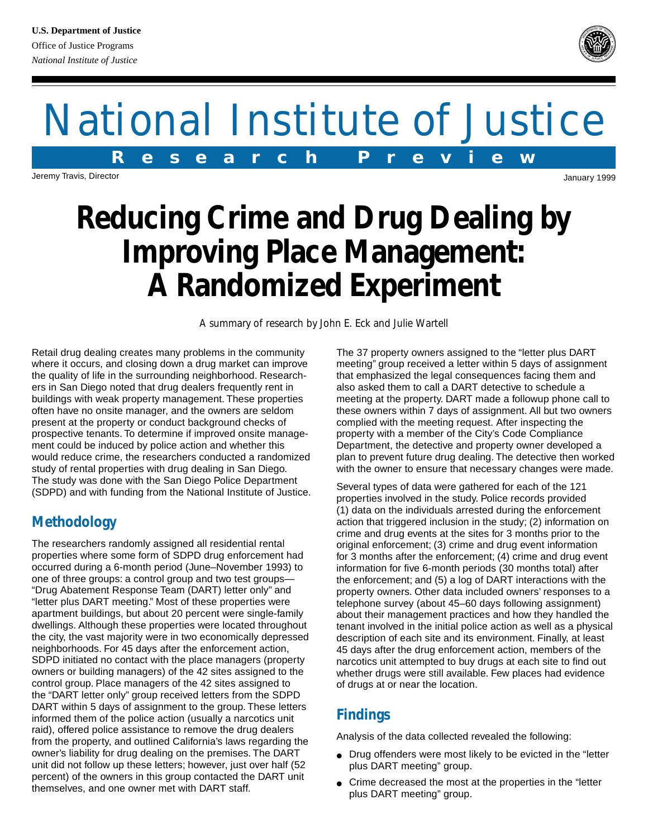# National Institute of Justice **R e s e a r c h P r e v i e w**

Jeremy Travis, Director

## **Reducing Crime and Drug Dealing by Improving Place Management: A Randomized Experiment**

*A summary of research by John E. Eck and Julie Wartell*

Retail drug dealing creates many problems in the community where it occurs, and closing down a drug market can improve the quality of life in the surrounding neighborhood. Researchers in San Diego noted that drug dealers frequently rent in buildings with weak property management. These properties often have no onsite manager, and the owners are seldom present at the property or conduct background checks of prospective tenants. To determine if improved onsite management could be induced by police action and whether this would reduce crime, the researchers conducted a randomized study of rental properties with drug dealing in San Diego. The study was done with the San Diego Police Department (SDPD) and with funding from the National Institute of Justice.

#### **Methodology**

The researchers randomly assigned all residential rental properties where some form of SDPD drug enforcement had occurred during a 6-month period (June–November 1993) to one of three groups: a control group and two test groups— "Drug Abatement Response Team (DART) letter only" and "letter plus DART meeting." Most of these properties were apartment buildings, but about 20 percent were single-family dwellings. Although these properties were located throughout the city, the vast majority were in two economically depressed neighborhoods. For 45 days after the enforcement action, SDPD initiated no contact with the place managers (property owners or building managers) of the 42 sites assigned to the control group. Place managers of the 42 sites assigned to the "DART letter only" group received letters from the SDPD DART within 5 days of assignment to the group. These letters informed them of the police action (usually a narcotics unit raid), offered police assistance to remove the drug dealers from the property, and outlined California's laws regarding the owner's liability for drug dealing on the premises. The DART unit did not follow up these letters; however, just over half (52 percent) of the owners in this group contacted the DART unit themselves, and one owner met with DART staff.

The 37 property owners assigned to the "letter plus DART meeting" group received a letter within 5 days of assignment that emphasized the legal consequences facing them and also asked them to call a DART detective to schedule a meeting at the property. DART made a followup phone call to these owners within 7 days of assignment. All but two owners complied with the meeting request. After inspecting the property with a member of the City's Code Compliance Department, the detective and property owner developed a plan to prevent future drug dealing. The detective then worked with the owner to ensure that necessary changes were made.

Several types of data were gathered for each of the 121 properties involved in the study. Police records provided (1) data on the individuals arrested during the enforcement action that triggered inclusion in the study; (2) information on crime and drug events at the sites for 3 months prior to the original enforcement; (3) crime and drug event information for 3 months after the enforcement; (4) crime and drug event information for five 6-month periods (30 months total) after the enforcement; and (5) a log of DART interactions with the property owners. Other data included owners' responses to a telephone survey (about 45–60 days following assignment) about their management practices and how they handled the tenant involved in the initial police action as well as a physical description of each site and its environment. Finally, at least 45 days after the drug enforcement action, members of the narcotics unit attempted to buy drugs at each site to find out whether drugs were still available. Few places had evidence of drugs at or near the location.

### **Findings**

Analysis of the data collected revealed the following:

- Drug offenders were most likely to be evicted in the "letter plus DART meeting" group.
- Crime decreased the most at the properties in the "letter plus DART meeting" group.



*National Institute of Justice*

January 1999

**<sup>D</sup>EPARTMEN<sup>T</sup> <sup>O</sup><sup>F</sup> <sup>J</sup>USTIC<sup>E</sup> <sup>O</sup>F<sup>F</sup> <sup>I</sup>C<sup>E</sup> <sup>O</sup><sup>F</sup> <sup>J</sup>USTIC<sup>E</sup> <sup>P</sup>ROGRAM<sup>S</sup> BJA**  $\frac{\sqrt{m}}{2}$